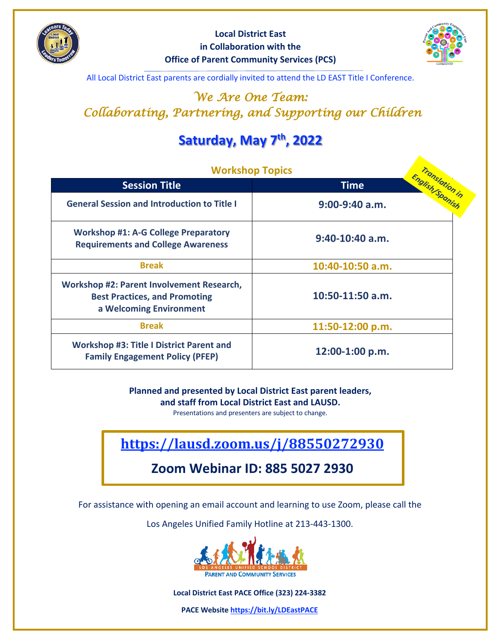



All Local District East parents are cordially invited to attend the LD EAST Title I Conference.

## *We Are One Team: Collaborating, Partnering, and Supporting our Children*

# **Saturday, May 7th, 2022**

| <b>Workshop Topics</b>                                                                                       |                                     |
|--------------------------------------------------------------------------------------------------------------|-------------------------------------|
| <b>Session Title</b>                                                                                         | <b>Time</b>                         |
| <b>General Session and Introduction to Title I</b>                                                           | English Sponish<br>$9:00-9:40$ a.m. |
| <b>Workshop #1: A-G College Preparatory</b><br><b>Requirements and College Awareness</b>                     | $9:40-10:40$ a.m.                   |
| <b>Break</b>                                                                                                 | 10:40-10:50 a.m.                    |
| Workshop #2: Parent Involvement Research,<br><b>Best Practices, and Promoting</b><br>a Welcoming Environment | $10:50-11:50$ a.m.                  |
| <b>Break</b>                                                                                                 | 11:50-12:00 p.m.                    |
| <b>Workshop #3: Title I District Parent and</b><br><b>Family Engagement Policy (PFEP)</b>                    | 12:00-1:00 p.m.                     |

**Planned and presented by Local District East parent leaders, and staff from Local District East and LAUSD.**

Presentations and presenters are subject to change.

**https://lausd.zoom.us/j/88550272930**

## **Zoom Webinar ID: 885 5027 2930**

For assistance with opening an email account and learning to use Zoom, please call the

Los Angeles Unified Family Hotline at 213-443-1300.



**Local District East PACE Office (323) 224-3382** 

**PACE Website https://bit.ly/LDEastPACE**